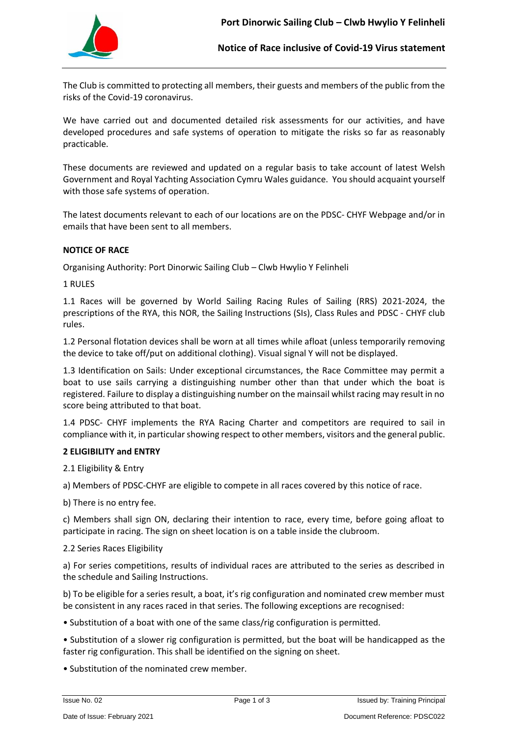

**Notice of Race inclusive of Covid-19 Virus statement**

The Club is committed to protecting all members, their guests and members of the public from the risks of the Covid-19 coronavirus.

We have carried out and documented detailed risk assessments for our activities, and have developed procedures and safe systems of operation to mitigate the risks so far as reasonably practicable.

These documents are reviewed and updated on a regular basis to take account of latest Welsh Government and Royal Yachting Association Cymru Wales guidance. You should acquaint yourself with those safe systems of operation.

The latest documents relevant to each of our locations are on the PDSC- CHYF Webpage and/or in emails that have been sent to all members.

## **NOTICE OF RACE**

Organising Authority: Port Dinorwic Sailing Club – Clwb Hwylio Y Felinheli

#### 1 RULES

1.1 Races will be governed by World Sailing Racing Rules of Sailing (RRS) 2021-2024, the prescriptions of the RYA, this NOR, the Sailing Instructions (SIs), Class Rules and PDSC - CHYF club rules.

1.2 Personal flotation devices shall be worn at all times while afloat (unless temporarily removing the device to take off/put on additional clothing). Visual signal Y will not be displayed.

1.3 Identification on Sails: Under exceptional circumstances, the Race Committee may permit a boat to use sails carrying a distinguishing number other than that under which the boat is registered. Failure to display a distinguishing number on the mainsail whilst racing may result in no score being attributed to that boat.

1.4 PDSC- CHYF implements the RYA Racing Charter and competitors are required to sail in compliance with it, in particular showing respect to other members, visitors and the general public.

#### **2 ELIGIBILITY and ENTRY**

2.1 Eligibility & Entry

a) Members of PDSC-CHYF are eligible to compete in all races covered by this notice of race.

b) There is no entry fee.

c) Members shall sign ON, declaring their intention to race, every time, before going afloat to participate in racing. The sign on sheet location is on a table inside the clubroom.

#### 2.2 Series Races Eligibility

a) For series competitions, results of individual races are attributed to the series as described in the schedule and Sailing Instructions.

b) To be eligible for a series result, a boat, it's rig configuration and nominated crew member must be consistent in any races raced in that series. The following exceptions are recognised:

• Substitution of a boat with one of the same class/rig configuration is permitted.

• Substitution of a slower rig configuration is permitted, but the boat will be handicapped as the faster rig configuration. This shall be identified on the signing on sheet.

• Substitution of the nominated crew member.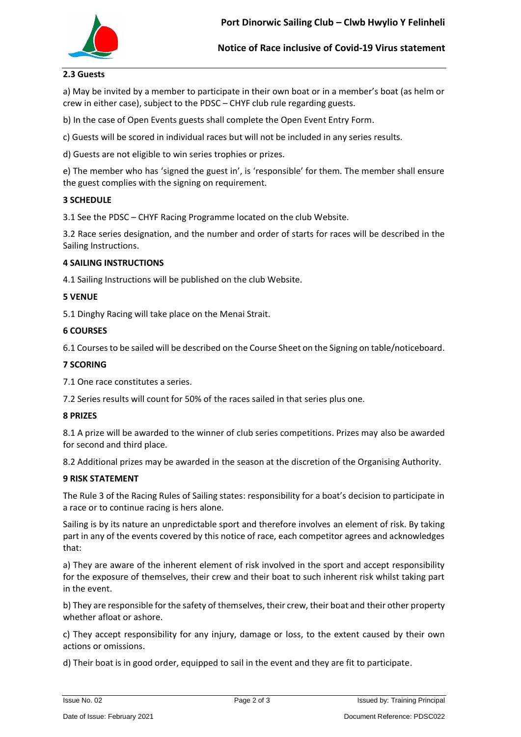

# **Notice of Race inclusive of Covid-19 Virus statement**

## **2.3 Guests**

a) May be invited by a member to participate in their own boat or in a member's boat (as helm or crew in either case), subject to the PDSC – CHYF club rule regarding guests.

b) In the case of Open Events guests shall complete the Open Event Entry Form.

c) Guests will be scored in individual races but will not be included in any series results.

d) Guests are not eligible to win series trophies or prizes.

e) The member who has 'signed the guest in', is 'responsible' for them. The member shall ensure the guest complies with the signing on requirement.

## **3 SCHEDULE**

3.1 See the PDSC – CHYF Racing Programme located on the club Website.

3.2 Race series designation, and the number and order of starts for races will be described in the Sailing Instructions.

#### **4 SAILING INSTRUCTIONS**

4.1 Sailing Instructions will be published on the club Website.

#### **5 VENUE**

5.1 Dinghy Racing will take place on the Menai Strait.

#### **6 COURSES**

6.1 Courses to be sailed will be described on the Course Sheet on the Signing on table/noticeboard.

## **7 SCORING**

7.1 One race constitutes a series.

7.2 Series results will count for 50% of the races sailed in that series plus one.

#### **8 PRIZES**

8.1 A prize will be awarded to the winner of club series competitions. Prizes may also be awarded for second and third place.

8.2 Additional prizes may be awarded in the season at the discretion of the Organising Authority.

#### **9 RISK STATEMENT**

The Rule 3 of the Racing Rules of Sailing states: responsibility for a boat's decision to participate in a race or to continue racing is hers alone.

Sailing is by its nature an unpredictable sport and therefore involves an element of risk. By taking part in any of the events covered by this notice of race, each competitor agrees and acknowledges that:

a) They are aware of the inherent element of risk involved in the sport and accept responsibility for the exposure of themselves, their crew and their boat to such inherent risk whilst taking part in the event.

b) They are responsible for the safety of themselves, their crew, their boat and their other property whether afloat or ashore.

c) They accept responsibility for any injury, damage or loss, to the extent caused by their own actions or omissions.

d) Their boat is in good order, equipped to sail in the event and they are fit to participate.